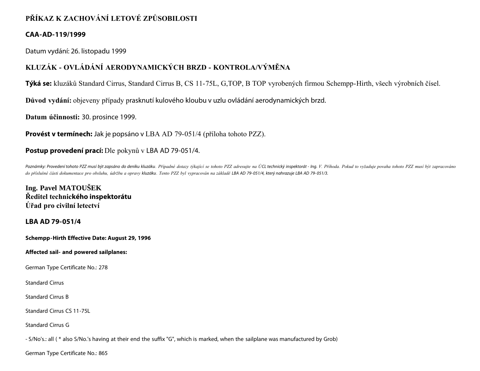# **PŘÍKAZ K ZACHOVÁNÍ LETOVÉ ZPŮSOBILOSTI**

### **CAA-AD-119/1999**

Datum vydání: 26. listopadu 1999

# **KLUZÁK - OVLÁDÁNÍ AERODYNAMICKÝCH BRZD - KONTROLA/VÝMĚNA**

**Týká se:** kluzáků Standard Cirrus, Standard Cirrus B, CS 11-75L, G,TOP, B TOP vyrobených firmou Schempp-Hirth, všech výrobních čísel.

**Důvod vydání:** objeveny případy prasknutí kulového kloubu v uzlu ovládání aerodynamických brzd.

**Datum účinnosti:** 30. prosince 1999.

**Provést v termínech:** Jak je popsáno v LBA AD 79-051/4 (příloha tohoto PZZ).

## **Postup provedení prací:** Dle pokynů v LBA AD 79-051/4.

Poznámky: Provedení tohoto PZZ musí být zapsáno do deníku kluzáku. Případné dotazy týkající se tohoto PZZ adresujte na ÚCL technický inspektorát - lng. V. Příhoda. Pokud to vyžaduje povaha tohoto PZZ musí být zapracováno *do příslušné části dokumentace pro obsluhu, údržbu a opravy kluzáku. Tento PZZ byl vypracován na základě LBA AD 79- 051/4, který nahrazuje LBA AD 79- 051/3.*

**Ing. Pavel MATOUŠEK Ředitel technického inspektorátu Úřad pro civilní letectví**

### **LBA AD 79-051/4**

**Schempp-Hirth Effective Date: August 29, 1996**

**Affected sail- and powered sailplanes:**

German Type Certificate No.: 278

Standard Cirrus

Standard Cirrus B

Standard Cirrus CS 11-75L

Standard Cirrus G

- S/No's.: all ( \* also S/No.'s having at their end the suffix "G", which is marked, when the sailplane was manufactured by Grob)

German Type Certificate No.: 865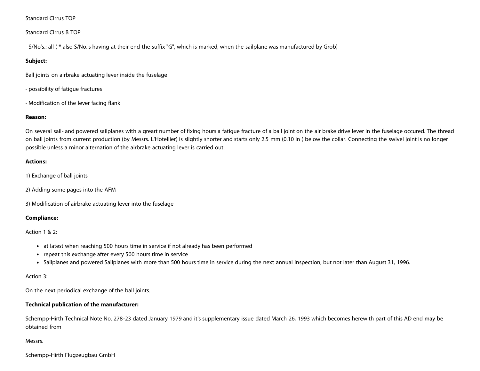Standard Cirrus TOP

Standard Cirrus B TOP

- S/No's.: all ( \* also S/No.'s having at their end the suffix "G", which is marked, when the sailplane was manufactured by Grob)

#### **Subject:**

Ball joints on airbrake actuating lever inside the fuselage

- possibility of fatigue fractures
- Modification of the lever facing flank

#### **Reason:**

On several sail- and powered sailplanes with a greart number of fixing hours a fatigue fracture of a ball joint on the air brake drive lever in the fuselage occured. The thread on ball joints from current production (by Messrs. L'Hotellier) is slightly shorter and starts only 2.5 mm (0.10 in ) below the collar. Connecting the swivel joint is no longer possible unless a minor alternation of the airbrake actuating lever is carried out.

#### **Actions:**

- 1) Exchange of ball joints
- 2) Adding some pages into the AFM

3) Modification of airbrake actuating lever into the fuselage

#### **Compliance:**

Action 1 & 2:

- at latest when reaching 500 hours time in service if not already has been performed
- repeat this exchange after every 500 hours time in service
- Sailplanes and powered Sailplanes with more than 500 hours time in service during the next annual inspection, but not later than August 31, 1996.

#### Action 3:

On the next periodical exchange of the ball joints.

#### **Technical publication of the manufacturer:**

Schempp-Hirth Technical Note No. 278-23 dated January 1979 and it's supplementary issue dated March 26, 1993 which becomes herewith part of this AD end may be obtained from

Messrs.

Schempp-Hirth Flugzeugbau GmbH